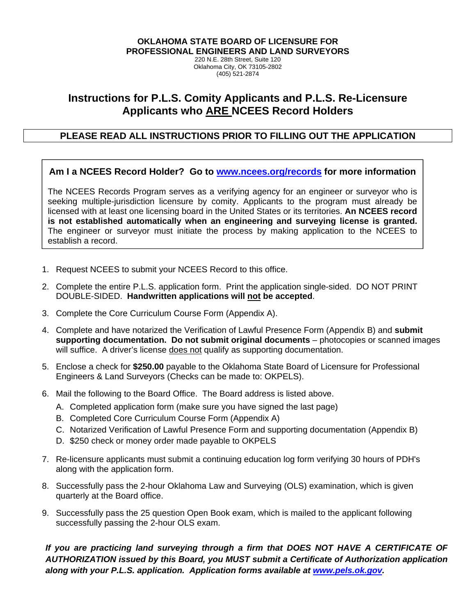**OKLAHOMA STATE BOARD OF LICENSURE FOR PROFESSIONAL ENGINEERS AND LAND SURVEYORS**

220 N.E. 28th Street, Suite 120 Oklahoma City, OK 73105-2802 (405) 521-2874

# **Instructions for P.L.S. Comity Applicants and P.L.S. Re-Licensure Applicants who ARE NCEES Record Holders**

# **PLEASE READ ALL INSTRUCTIONS PRIOR TO FILLING OUT THE APPLICATION**

## **Am I a NCEES Record Holder? Go to www.ncees.org/records for more information**

The NCEES Records Program serves as a verifying agency for an engineer or surveyor who is seeking multiple-jurisdiction licensure by comity. Applicants to the program must already be licensed with at least one licensing board in the United States or its territories. **An NCEES record is not established automatically when an engineering and surveying license is granted.** The engineer or surveyor must initiate the process by making application to the NCEES to establish a record.

- 1. Request NCEES to submit your NCEES Record to this office.
- 2. Complete the entire P.L.S. application form. Print the application single-sided. DO NOT PRINT DOUBLE-SIDED. **Handwritten applications will not be accepted**.
- 3. Complete the Core Curriculum Course Form (Appendix A).
- 4. Complete and have notarized the Verification of Lawful Presence Form (Appendix B) and **submit supporting documentation. Do not submit original documents** – photocopies or scanned images will suffice. A driver's license does not qualify as supporting documentation.
- 5. Enclose a check for **\$250.00** payable to the Oklahoma State Board of Licensure for Professional Engineers & Land Surveyors (Checks can be made to: OKPELS).
- 6. Mail the following to the Board Office. The Board address is listed above.
	- A. Completed application form (make sure you have signed the last page)
	- B. Completed Core Curriculum Course Form (Appendix A)
	- C. Notarized Verification of Lawful Presence Form and supporting documentation (Appendix B)
	- D. \$250 check or money order made payable to OKPELS
- 7. Re-licensure applicants must submit a continuing education log form verifying 30 hours of PDH's along with the application form.
- 8. Successfully pass the 2-hour Oklahoma Law and Surveying (OLS) examination, which is given quarterly at the Board office.
- 9. Successfully pass the 25 question Open Book exam, which is mailed to the applicant following successfully passing the 2-hour OLS exam.

*If you are practicing land surveying through a firm that DOES NOT HAVE A CERTIFICATE OF AUTHORIZATION issued by this Board, you MUST submit a Certificate of Authorization application along with your P.L.S. application. Application forms available at www.pels.ok.gov.*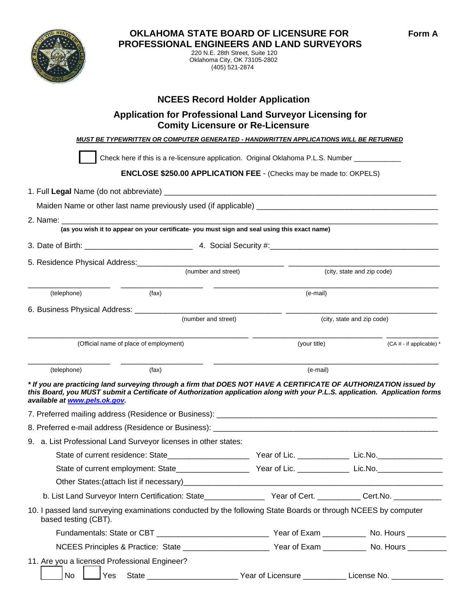



 220 N.E. 28th Street, Suite 120 Oklahoma City, OK 73105-2802 (405) 521-2874

# **NCEES Record Holder Application**

# **Application for Professional Land Surveyor Licensing for Comity Licensure or Re-Licensure**

 *MUST BE TYPEWRITTEN OR COMPUTER GENERATED - HANDWRITTEN APPLICATIONS WILL BE RETURNED* 

Check here if this is a re-licensure application. Original Oklahoma P.L.S. Number \_\_\_\_\_ **ENCLOSE \$250.00 APPLICATION FEE** - (Checks may be made to: OKPELS) 1. Full **Legal** Name (do not abbreviate) \_\_\_\_\_\_\_\_\_\_\_\_\_\_\_\_\_\_\_\_\_\_\_\_\_\_\_\_\_\_\_\_\_\_\_\_\_\_\_\_\_\_\_\_\_\_\_\_\_\_\_\_\_\_\_\_\_\_\_\_\_\_\_ Maiden Name or other last name previously used (if applicable)

2. Name: \_\_\_\_\_\_\_\_\_\_\_\_\_\_\_\_\_\_\_\_\_\_\_\_\_\_\_\_\_\_\_\_\_\_\_\_\_\_\_\_\_\_\_\_\_\_\_\_\_\_\_\_\_\_\_\_\_\_\_\_\_\_\_\_\_\_\_\_\_\_\_\_\_\_\_\_\_\_\_\_\_\_\_\_\_\_\_ **(as you wish it to appear on your certificate- you must sign and seal using this exact name)** 

3. Date of Birth: \_\_\_\_\_\_\_\_\_\_\_\_\_\_\_\_\_\_\_\_\_\_\_\_\_ 4. Social Security #:\_\_\_\_\_\_\_\_\_\_\_\_\_\_\_\_\_\_\_\_\_\_\_\_\_\_\_\_\_\_\_\_\_\_\_\_\_\_\_

5. Residence Physical Address:\_\_\_\_\_\_\_\_\_\_\_\_\_\_\_\_\_\_\_\_\_\_\_\_\_\_\_\_\_\_\_\_\_\_ \_\_\_\_\_\_\_\_\_\_\_\_\_\_\_\_\_\_\_\_\_\_\_\_\_\_\_\_\_\_\_\_\_\_\_

|                                        | (number and street) | (city, state and zip code) |                                        |  |
|----------------------------------------|---------------------|----------------------------|----------------------------------------|--|
| (telephone)                            | (fax)               | (e-mail)                   |                                        |  |
| 6. Business Physical Address:          | (number and street) | (city, state and zip code) |                                        |  |
| (Official name of place of employment) |                     | (your title)               | $(CA \# - if applicable)$ <sup>*</sup> |  |

\_\_\_\_\_\_\_\_\_\_\_\_\_\_\_\_\_\_\_ \_\_\_\_\_\_\_\_\_\_\_\_\_\_\_\_\_\_\_ \_\_\_\_\_\_\_\_\_\_\_\_\_\_\_\_\_\_\_\_\_\_\_\_\_\_\_\_\_\_\_\_\_\_\_\_\_\_\_\_\_\_\_\_\_\_\_\_\_\_\_\_ (telephone) (fax) (fax) (fax) (e-mail)

*\* If you are practicing land surveying through a firm that DOES NOT HAVE A CERTIFICATE OF AUTHORIZATION issued by this Board, you MUST submit a Certificate of Authorization application along with your P.L.S. application. Application forms available at www.pels.ok.gov.* 

| 9. a. List Professional Land Surveyor licenses in other states:                                                                                                                                                               |                                              |                            |
|-------------------------------------------------------------------------------------------------------------------------------------------------------------------------------------------------------------------------------|----------------------------------------------|----------------------------|
| State of current residence: State_______________________                                                                                                                                                                      |                                              | Year of Lic. Lic. Lic. No. |
|                                                                                                                                                                                                                               |                                              |                            |
| Other States: (attach list if necessary) example and the state of the state of the state of the state of the state of the state of the state of the state of the state of the state of the state of the state of the state of |                                              |                            |
| b. List Land Surveyor Intern Certification: State Manuel Mear of Cert. Manuel Cert. No. 1996. The Cert. No.                                                                                                                   |                                              |                            |
| 10. I passed land surveying examinations conducted by the following State Boards or through NCEES by computer<br>based testing (CBT).                                                                                         |                                              |                            |
|                                                                                                                                                                                                                               |                                              |                            |
|                                                                                                                                                                                                                               |                                              |                            |
| 11. Are you a licensed Professional Engineer?                                                                                                                                                                                 |                                              |                            |
| No                                                                                                                                                                                                                            | Year of Licensure ____________ License No. _ |                            |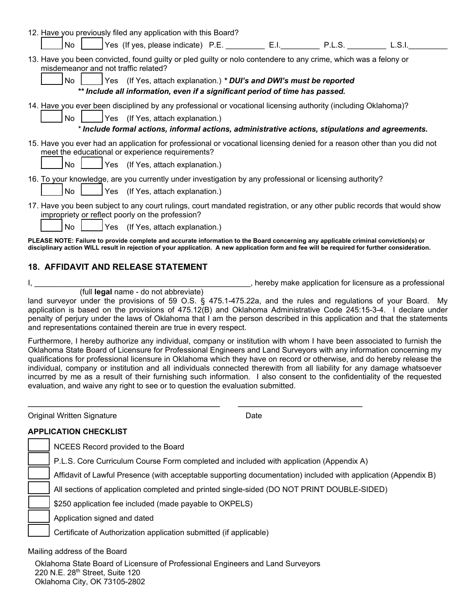| 12. Have you previously filed any application with this Board?                                                                                                                                                                                                                     |
|------------------------------------------------------------------------------------------------------------------------------------------------------------------------------------------------------------------------------------------------------------------------------------|
| Yes (If yes, please indicate) P.E. E.I. E.I. P.L.S.<br>No<br>L.S.I.                                                                                                                                                                                                                |
| 13. Have you been convicted, found guilty or pled guilty or nolo contendere to any crime, which was a felony or<br>misdemeanor and not traffic related?                                                                                                                            |
| No<br>Yes (If Yes, attach explanation.) * DUI's and DWI's must be reported<br>** Include all information, even if a significant period of time has passed.                                                                                                                         |
| 14. Have you ever been disciplined by any professional or vocational licensing authority (including Oklahoma)?<br><b>No</b><br>Yes (If Yes, attach explanation.)<br>* Include formal actions, informal actions, administrative actions, stipulations and agreements.               |
| 15. Have you ever had an application for professional or vocational licensing denied for a reason other than you did not<br>meet the educational or experience requirements?<br>No<br>Yes (If Yes, attach explanation.)                                                            |
| 16. To your knowledge, are you currently under investigation by any professional or licensing authority?<br>No<br>Yes (If Yes, attach explanation.)                                                                                                                                |
| 17. Have you been subject to any court rulings, court mandated registration, or any other public records that would show<br>impropriety or reflect poorly on the profession?<br>No<br>Yes (If Yes, attach explanation.)                                                            |
| PLEASE NOTE: Failure to provide complete and accurate information to the Board concerning any applicable criminal conviction(s) or<br>disciplinary action WILL result in rejection of your application. A new application form and fee will be required for further consideration. |

### **18. AFFIDAVIT AND RELEASE STATEMENT**

(full **legal** name - do not abbreviate)

I, thereby make application for licensure as a professional state of the state of the state of the state of the state of the state of the state of the state of the state of the state of the state of the state of the state

land surveyor under the provisions of 59 O.S. § 475.1-475.22a, and the rules and regulations of your Board. My application is based on the provisions of 475.12(B) and Oklahoma Administrative Code 245:15-3-4. I declare under penalty of perjury under the laws of Oklahoma that I am the person described in this application and that the statements and representations contained therein are true in every respect.

Furthermore, I hereby authorize any individual, company or institution with whom I have been associated to furnish the Oklahoma State Board of Licensure for Professional Engineers and Land Surveyors with any information concerning my qualifications for professional licensure in Oklahoma which they have on record or otherwise, and do hereby release the individual, company or institution and all individuals connected therewith from all liability for any damage whatsoever incurred by me as a result of their furnishing such information. I also consent to the confidentiality of the requested evaluation, and waive any right to see or to question the evaluation submitted.

\_\_\_\_\_\_\_\_\_\_\_\_\_\_\_\_\_\_\_\_\_\_\_\_\_\_\_\_\_\_\_\_\_\_\_\_\_ \_\_\_\_\_\_\_\_\_\_\_\_\_\_\_\_\_\_\_\_\_\_\_\_

| Original Written Signature                                                                                     | Date |
|----------------------------------------------------------------------------------------------------------------|------|
| <b>APPLICATION CHECKLIST</b>                                                                                   |      |
| NCEES Record provided to the Board                                                                             |      |
| P.L.S. Core Curriculum Course Form completed and included with application (Appendix A)                        |      |
| Affidavit of Lawful Presence (with acceptable supporting documentation) included with application (Appendix B) |      |
| All sections of application completed and printed single-sided (DO NOT PRINT DOUBLE-SIDED)                     |      |
| \$250 application fee included (made payable to OKPELS)                                                        |      |
| Application signed and dated                                                                                   |      |
| Certificate of Authorization application submitted (if applicable)                                             |      |
| Mailing address of the Board                                                                                   |      |
| Oklahoma State Board of Licensure of Professional Engineers and Land Surveyors                                 |      |

220 N.E. 28th Street, Suite 120

Oklahoma City, OK 73105-2802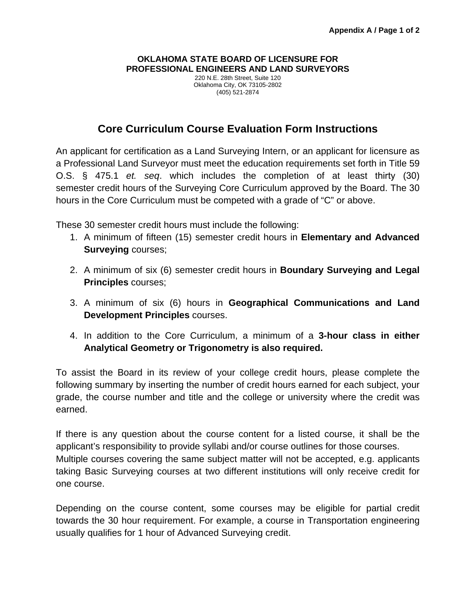### **OKLAHOMA STATE BOARD OF LICENSURE FOR PROFESSIONAL ENGINEERS AND LAND SURVEYORS**

220 N.E. 28th Street, Suite 120 Oklahoma City, OK 73105-2802 (405) 521-2874

# **Core Curriculum Course Evaluation Form Instructions**

An applicant for certification as a Land Surveying Intern, or an applicant for licensure as a Professional Land Surveyor must meet the education requirements set forth in Title 59 O.S. § 475.1 *et. seq*. which includes the completion of at least thirty (30) semester credit hours of the Surveying Core Curriculum approved by the Board. The 30 hours in the Core Curriculum must be competed with a grade of "C" or above.

These 30 semester credit hours must include the following:

- 1. A minimum of fifteen (15) semester credit hours in **Elementary and Advanced Surveying** courses;
- 2. A minimum of six (6) semester credit hours in **Boundary Surveying and Legal Principles** courses;
- 3. A minimum of six (6) hours in **Geographical Communications and Land Development Principles** courses.
- 4. In addition to the Core Curriculum, a minimum of a **3-hour class in either Analytical Geometry or Trigonometry is also required.**

To assist the Board in its review of your college credit hours, please complete the following summary by inserting the number of credit hours earned for each subject, your grade, the course number and title and the college or university where the credit was earned.

If there is any question about the course content for a listed course, it shall be the applicant's responsibility to provide syllabi and/or course outlines for those courses. Multiple courses covering the same subject matter will not be accepted, e.g. applicants taking Basic Surveying courses at two different institutions will only receive credit for one course.

Depending on the course content, some courses may be eligible for partial credit towards the 30 hour requirement. For example, a course in Transportation engineering usually qualifies for 1 hour of Advanced Surveying credit.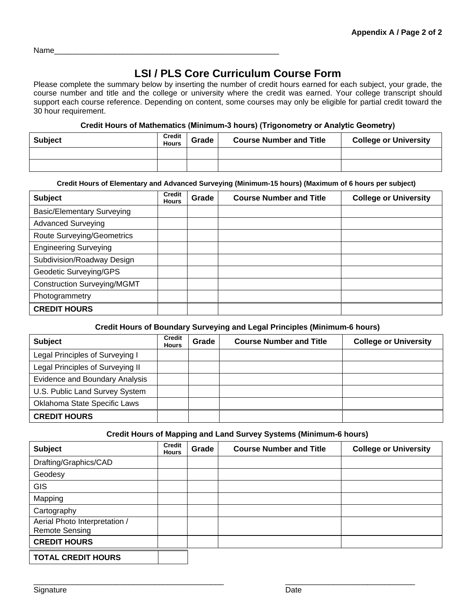Name\_\_\_\_\_\_\_\_\_\_\_\_\_\_\_\_\_\_\_\_\_\_\_\_\_\_\_\_\_\_\_\_\_\_\_\_\_\_\_\_\_\_\_\_\_\_\_\_\_\_\_\_

# **LSI / PLS Core Curriculum Course Form**

Please complete the summary below by inserting the number of credit hours earned for each subject, your grade, the course number and title and the college or university where the credit was earned. Your college transcript should support each course reference. Depending on content, some courses may only be eligible for partial credit toward the 30 hour requirement.

### **Credit Hours of Mathematics (Minimum-3 hours) (Trigonometry or Analytic Geometry)**

| <b>Subject</b> | Credit<br><b>Hours</b> | Grade | <b>Course Number and Title</b> | <b>College or University</b> |
|----------------|------------------------|-------|--------------------------------|------------------------------|
|                |                        |       |                                |                              |
|                |                        |       |                                |                              |

### **Credit Hours of Elementary and Advanced Surveying (Minimum-15 hours) (Maximum of 6 hours per subject)**

| <b>Subject</b>                     | Credit<br><b>Hours</b> | Grade | <b>Course Number and Title</b> | <b>College or University</b> |
|------------------------------------|------------------------|-------|--------------------------------|------------------------------|
| <b>Basic/Elementary Surveying</b>  |                        |       |                                |                              |
| <b>Advanced Surveying</b>          |                        |       |                                |                              |
| <b>Route Surveying/Geometrics</b>  |                        |       |                                |                              |
| <b>Engineering Surveying</b>       |                        |       |                                |                              |
| Subdivision/Roadway Design         |                        |       |                                |                              |
| Geodetic Surveying/GPS             |                        |       |                                |                              |
| <b>Construction Surveying/MGMT</b> |                        |       |                                |                              |
| Photogrammetry                     |                        |       |                                |                              |
| <b>CREDIT HOURS</b>                |                        |       |                                |                              |

### **Credit Hours of Boundary Surveying and Legal Principles (Minimum-6 hours)**

| <b>Subject</b>                   | Credit<br><b>Hours</b> | Grade | <b>Course Number and Title</b> | <b>College or University</b> |
|----------------------------------|------------------------|-------|--------------------------------|------------------------------|
| Legal Principles of Surveying I  |                        |       |                                |                              |
| Legal Principles of Surveying II |                        |       |                                |                              |
| Evidence and Boundary Analysis   |                        |       |                                |                              |
| U.S. Public Land Survey System   |                        |       |                                |                              |
| Oklahoma State Specific Laws     |                        |       |                                |                              |
| <b>CREDIT HOURS</b>              |                        |       |                                |                              |

### **Credit Hours of Mapping and Land Survey Systems (Minimum-6 hours)**

| <b>Subject</b>                                         | <b>Credit</b><br><b>Hours</b> | Grade | <b>Course Number and Title</b> | <b>College or University</b> |
|--------------------------------------------------------|-------------------------------|-------|--------------------------------|------------------------------|
| Drafting/Graphics/CAD                                  |                               |       |                                |                              |
| Geodesy                                                |                               |       |                                |                              |
| <b>GIS</b>                                             |                               |       |                                |                              |
| Mapping                                                |                               |       |                                |                              |
| Cartography                                            |                               |       |                                |                              |
| Aerial Photo Interpretation /<br><b>Remote Sensing</b> |                               |       |                                |                              |
| <b>CREDIT HOURS</b>                                    |                               |       |                                |                              |
| <b>TOTAL CREDIT HOURS</b>                              |                               |       |                                |                              |

\_\_\_\_\_\_\_\_\_\_\_\_\_\_\_\_\_\_\_\_\_\_\_\_\_\_\_\_\_\_\_\_\_\_\_\_\_\_\_\_\_\_\_\_ \_\_\_\_\_\_\_\_\_\_\_\_\_\_\_\_\_\_\_\_\_\_\_\_\_\_\_\_\_\_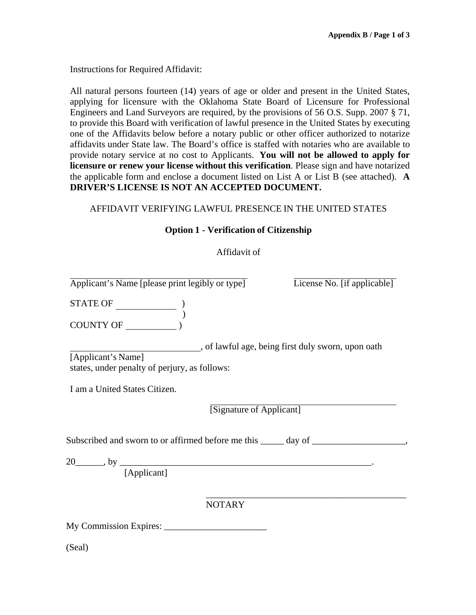Instructions for Required Affidavit:

All natural persons fourteen (14) years of age or older and present in the United States, applying for licensure with the Oklahoma State Board of Licensure for Professional Engineers and Land Surveyors are required, by the provisions of 56 O.S. Supp. 2007 § 71, to provide this Board with verification of lawful presence in the United States by executing one of the Affidavits below before a notary public or other officer authorized to notarize affidavits under State law. The Board's office is staffed with notaries who are available to provide notary service at no cost to Applicants. **You will not be allowed to apply for licensure or renew your license without this verification**. Please sign and have notarized the applicable form and enclose a document listed on List A or List B (see attached). **A DRIVER'S LICENSE IS NOT AN ACCEPTED DOCUMENT.**

### AFFIDAVIT VERIFYING LAWFUL PRESENCE IN THE UNITED STATES

### **Option 1 - Verification of Citizenship**

### Affidavit of

Applicant's Name [please print legibly or type] License No. [if applicable]

STATE OF  $\qquad \qquad$  )

) COUNTY OF  $\overrightarrow{)}$ 

[Applicant's Name] , of lawful age, being first duly sworn, upon oath states, under penalty of perjury, as follows:

I am a United States Citizen.

[Signature of Applicant]

Subscribed and sworn to or affirmed before me this \_\_\_\_\_ day of \_\_\_\_\_\_\_\_\_\_\_\_\_\_\_\_,

 $\overline{\phantom{a}}$  , and the contract of the contract of the contract of the contract of the contract of the contract of the contract of the contract of the contract of the contract of the contract of the contract of the contrac

20\_\_\_\_\_\_, by \_\_\_\_\_\_\_\_\_\_\_\_\_\_\_\_\_\_\_\_\_\_\_\_\_\_\_\_\_\_\_\_\_\_\_\_\_\_\_\_\_\_\_\_\_\_\_\_\_\_\_\_\_\_.

[Applicant]

NOTARY

My Commission Expires: \_\_\_\_\_\_\_\_\_\_\_\_\_\_\_\_\_\_\_\_\_\_

(Seal)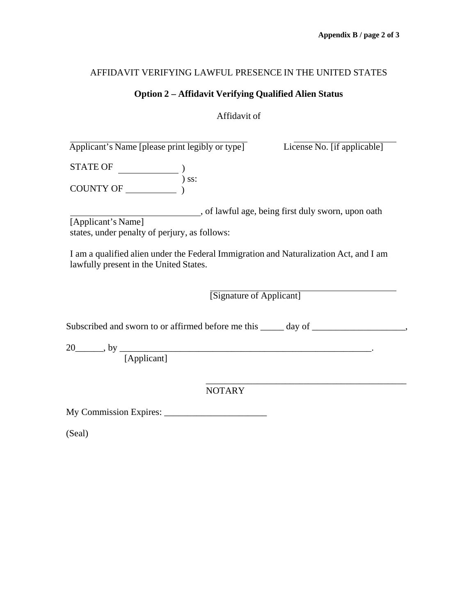### AFFIDAVIT VERIFYING LAWFUL PRESENCE IN THE UNITED STATES

### **Option 2 – Affidavit Verifying Qualified Alien Status**

### Affidavit of

 Applicant's Name [please print legibly or type] License No. [if applicable] STATE OF  $\qquad \qquad$  ) COUNTY OF ) ) ss: [Applicant's Name] , of lawful age, being first duly sworn, upon oath states, under penalty of perjury, as follows: I am a qualified alien under the Federal Immigration and Naturalization Act, and I am lawfully present in the United States. [Signature of Applicant] Subscribed and sworn to or affirmed before me this \_\_\_\_\_ day of \_\_\_\_\_\_\_\_\_\_\_\_\_\_\_\_\_, 20\_\_\_\_\_\_, by \_\_\_\_\_\_\_\_\_\_\_\_\_\_\_\_\_\_\_\_\_\_\_\_\_\_\_\_\_\_\_\_\_\_\_\_\_\_\_\_\_\_\_\_\_\_\_\_\_\_\_\_\_\_. [Applicant] NOTARY My Commission Expires: \_\_\_\_\_\_\_\_\_\_\_\_\_\_\_\_\_\_\_\_\_\_ (Seal)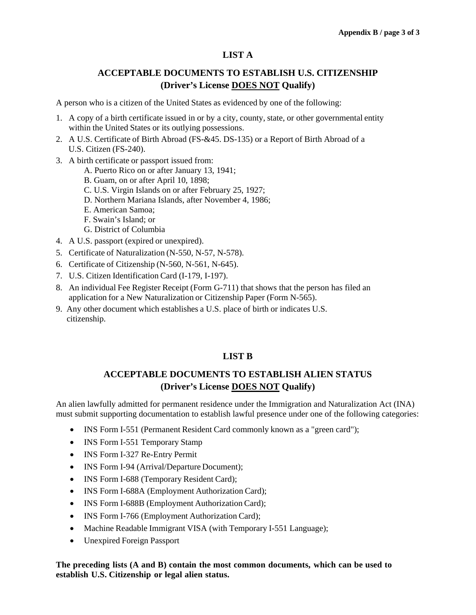# **LIST A**

# **ACCEPTABLE DOCUMENTS TO ESTABLISH U.S. CITIZENSHIP (Driver's License DOES NOT Qualify)**

A person who is a citizen of the United States as evidenced by one of the following:

- 1. A copy of a birth certificate issued in or by a city, county, state, or other governmental entity within the United States or its outlying possessions.
- 2. A U.S. Certificate of Birth Abroad (FS-&45. DS-135) or a Report of Birth Abroad of a U.S. Citizen (FS-240).
- 3. A birth certificate or passport issued from:
	- A. Puerto Rico on or after January 13, 1941;
	- B. Guam, on or after April 10, 1898;
	- C. U.S. Virgin Islands on or after February 25, 1927;
	- D. Northern Mariana Islands, after November 4, 1986;
	- E. American Samoa;
	- F. Swain's Island; or
	- G. District of Columbia
- 4. A U.S. passport (expired or unexpired).
- 5. Certificate of Naturalization (N-550, N-57, N-578).
- 6. Certificate of Citizenship (N-560, N-561, N-645).
- 7. U.S. Citizen Identification Card (I-179, I-197).
- 8. An individual Fee Register Receipt (Form G-711) that shows that the person has filed an application for a New Naturalization or Citizenship Paper (Form N-565).
- 9. Any other document which establishes a U.S. place of birth or indicates U.S. citizenship.

## **LIST B**

# **ACCEPTABLE DOCUMENTS TO ESTABLISH ALIEN STATUS (Driver's License DOES NOT Qualify)**

An alien lawfully admitted for permanent residence under the Immigration and Naturalization Act (INA) must submit supporting documentation to establish lawful presence under one of the following categories:

- INS Form I-551 (Permanent Resident Card commonly known as a "green card");
- INS Form I-551 Temporary Stamp
- INS Form I-327 Re-Entry Permit
- INS Form I-94 (Arrival/Departure Document);
- INS Form I-688 (Temporary Resident Card);
- INS Form I-688A (Employment Authorization Card);
- INS Form I-688B (Employment Authorization Card);
- INS Form I-766 (Employment Authorization Card);
- Machine Readable Immigrant VISA (with Temporary I-551 Language);
- Unexpired Foreign Passport

**The preceding lists (A and B) contain the most common documents, which can be used to establish U.S. Citizenship or legal alien status.**